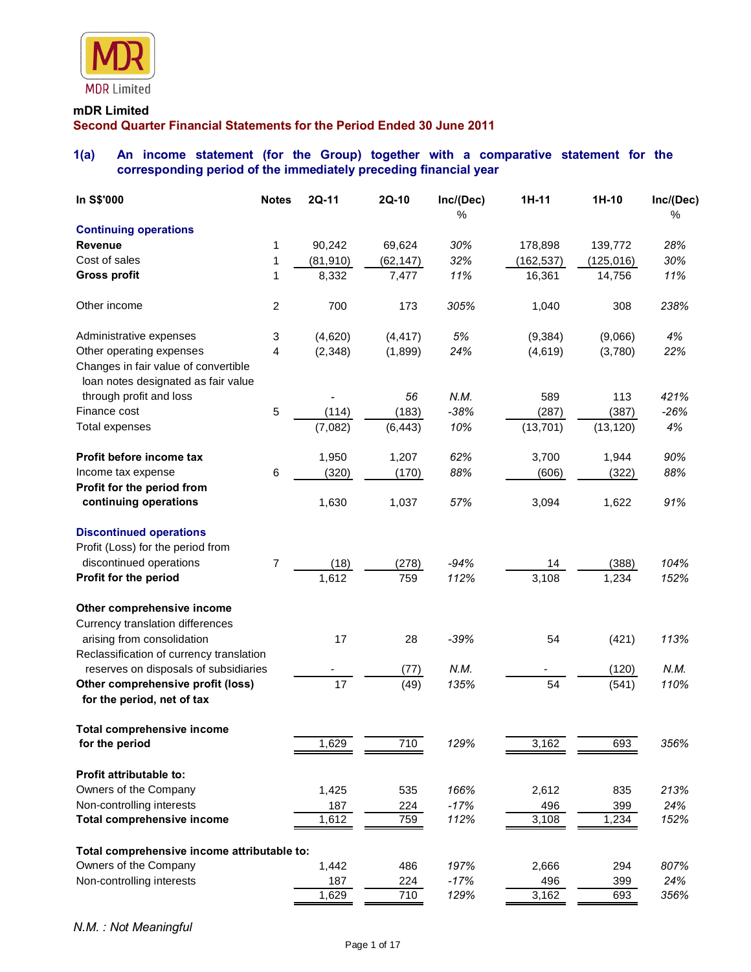

#### **mDR Limited**

**Second Quarter Financial Statements for the Period Ended 30 June 2011**

## **1(a) An income statement (for the Group) together with a comparative statement for the corresponding period of the immediately preceding financial year**

| In S\$'000                                                                                              | <b>Notes</b>   | 2Q-11     | 2Q-10     | Inc/(Dec) | $1H-11$    | $1H-10$    | Inc/(Dec) |
|---------------------------------------------------------------------------------------------------------|----------------|-----------|-----------|-----------|------------|------------|-----------|
|                                                                                                         |                |           |           | %         |            |            | $\%$      |
| <b>Continuing operations</b>                                                                            |                |           |           |           |            |            |           |
| <b>Revenue</b>                                                                                          | 1              | 90,242    | 69,624    | 30%       | 178,898    | 139,772    | 28%       |
| Cost of sales                                                                                           | 1              | (81, 910) | (62, 147) | 32%       | (162, 537) | (125, 016) | 30%       |
| <b>Gross profit</b>                                                                                     | 1              | 8,332     | 7,477     | 11%       | 16,361     | 14,756     | 11%       |
| Other income                                                                                            | $\overline{c}$ | 700       | 173       | 305%      | 1,040      | 308        | 238%      |
| Administrative expenses                                                                                 | 3              | (4,620)   | (4, 417)  | 5%        | (9, 384)   | (9,066)    | 4%        |
| Other operating expenses<br>Changes in fair value of convertible<br>loan notes designated as fair value | 4              | (2,348)   | (1,899)   | 24%       | (4,619)    | (3,780)    | 22%       |
| through profit and loss                                                                                 |                |           | 56        | N.M.      | 589        | 113        | 421%      |
| Finance cost                                                                                            | $\sqrt{5}$     | (114)     | (183)     | $-38%$    | (287)      | (387)      | $-26%$    |
| <b>Total expenses</b>                                                                                   |                | (7,082)   | (6, 443)  | 10%       | (13, 701)  | (13, 120)  | 4%        |
| Profit before income tax                                                                                |                | 1,950     | 1,207     | 62%       | 3,700      | 1,944      | 90%       |
| Income tax expense                                                                                      | 6              | (320)     | (170)     | 88%       | (606)      | (322)      | 88%       |
| Profit for the period from                                                                              |                |           |           |           |            |            |           |
| continuing operations                                                                                   |                | 1,630     | 1,037     | 57%       | 3,094      | 1,622      | 91%       |
| <b>Discontinued operations</b><br>Profit (Loss) for the period from                                     |                |           |           |           |            |            |           |
| discontinued operations                                                                                 | 7              | (18)      | (278)     | $-94%$    | 14         | (388)      | 104%      |
| Profit for the period                                                                                   |                | 1,612     | 759       | 112%      | 3,108      | 1,234      | 152%      |
| Other comprehensive income<br>Currency translation differences                                          |                |           |           |           |            |            |           |
|                                                                                                         |                |           |           |           |            |            |           |
| arising from consolidation<br>Reclassification of currency translation                                  |                | 17        | 28        | $-39%$    | 54         | (421)      | 113%      |
| reserves on disposals of subsidiaries                                                                   |                |           | (77)      | N.M.      |            | (120)      | N.M.      |
| Other comprehensive profit (loss)<br>for the period, net of tax                                         |                | 17        | (49)      | 135%      | 54         | (541)      | 110%      |
| Total comprehensive income                                                                              |                |           |           |           |            |            |           |
| for the period                                                                                          |                | 1,629     | 710       | 129%      | 3,162      | 693        | 356%      |
| Profit attributable to:                                                                                 |                |           |           |           |            |            |           |
| Owners of the Company                                                                                   |                | 1,425     | 535       | 166%      | 2,612      | 835        | 213%      |
| Non-controlling interests                                                                               |                | 187       | 224       | $-17%$    | 496        | 399        | 24%       |
| <b>Total comprehensive income</b>                                                                       |                | 1,612     | 759       | 112%      | 3,108      | 1,234      | 152%      |
| Total comprehensive income attributable to:                                                             |                |           |           |           |            |            |           |
| Owners of the Company                                                                                   |                | 1,442     | 486       | 197%      | 2,666      | 294        | 807%      |
| Non-controlling interests                                                                               |                | 187       | 224       | $-17%$    | 496        | 399        | 24%       |
|                                                                                                         |                | 1,629     | 710       | 129%      | 3,162      | 693        | 356%      |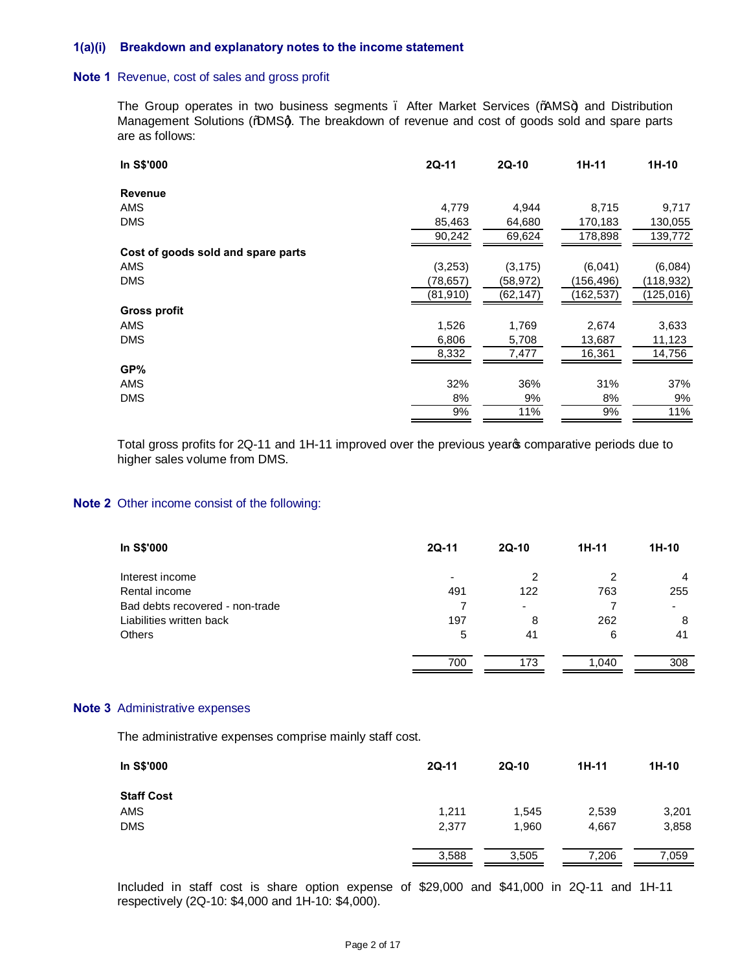### **1(a)(i) Breakdown and explanatory notes to the income statement**

#### **Note 1** Revenue, cost of sales and gross profit

The Group operates in two business segments . After Market Services (%AMS+) and Distribution Management Solutions (%DMSq). The breakdown of revenue and cost of goods sold and spare parts are as follows:

| In S\$'000                         | 2Q-11     | 2Q-10     | 1H-11      | 1H-10      |
|------------------------------------|-----------|-----------|------------|------------|
| <b>Revenue</b>                     |           |           |            |            |
| <b>AMS</b>                         | 4,779     | 4,944     | 8,715      | 9,717      |
| <b>DMS</b>                         | 85,463    | 64,680    | 170,183    | 130,055    |
|                                    | 90,242    | 69,624    | 178,898    | 139,772    |
| Cost of goods sold and spare parts |           |           |            |            |
| <b>AMS</b>                         | (3,253)   | (3, 175)  | (6,041)    | (6,084)    |
| <b>DMS</b>                         | (78,657)  | (58, 972) | (156, 496) | (118, 932) |
|                                    | (81, 910) | (62, 147) | (162, 537) | (125, 016) |
| <b>Gross profit</b>                |           |           |            |            |
| AMS                                | 1,526     | 1,769     | 2,674      | 3,633      |
| <b>DMS</b>                         | 6,806     | 5,708     | 13,687     | 11,123     |
|                                    | 8,332     | 7,477     | 16,361     | 14,756     |
| GP%                                |           |           |            |            |
| AMS                                | 32%       | 36%       | 31%        | 37%        |
| <b>DMS</b>                         | 8%        | 9%        | 8%         | 9%         |
|                                    | 9%        | 11%       | 9%         | 11%        |

Total gross profits for 2Q-11 and 1H-11 improved over the previous year pcomparative periods due to higher sales volume from DMS.

#### **Note 2** Other income consist of the following:

| In S\$'000                      | $2Q-11$                  | $2Q-10$ | 1H-11 | $1H-10$        |
|---------------------------------|--------------------------|---------|-------|----------------|
| Interest income                 | $\overline{\phantom{a}}$ | 2       | 2     | 4              |
| Rental income                   | 491                      | 122     | 763   | 255            |
| Bad debts recovered - non-trade |                          | -       |       | $\blacksquare$ |
| Liabilities written back        | 197                      | 8       | 262   | 8              |
| <b>Others</b>                   | 5                        | 41      | 6     | 41             |
|                                 | 700                      | 173     | 1.040 | 308            |

#### **Note 3** Administrative expenses

The administrative expenses comprise mainly staff cost.

| In S\$'000        | $2Q-11$ | $2Q-10$ | $1H-11$ | $1H-10$ |
|-------------------|---------|---------|---------|---------|
| <b>Staff Cost</b> |         |         |         |         |
| AMS               | 1,211   | 1,545   | 2,539   | 3,201   |
| <b>DMS</b>        | 2,377   | 1,960   | 4,667   | 3,858   |
|                   | 3,588   | 3,505   | 7,206   | 7,059   |

Included in staff cost is share option expense of \$29,000 and \$41,000 in 2Q-11 and 1H-11 respectively (2Q-10: \$4,000 and 1H-10: \$4,000).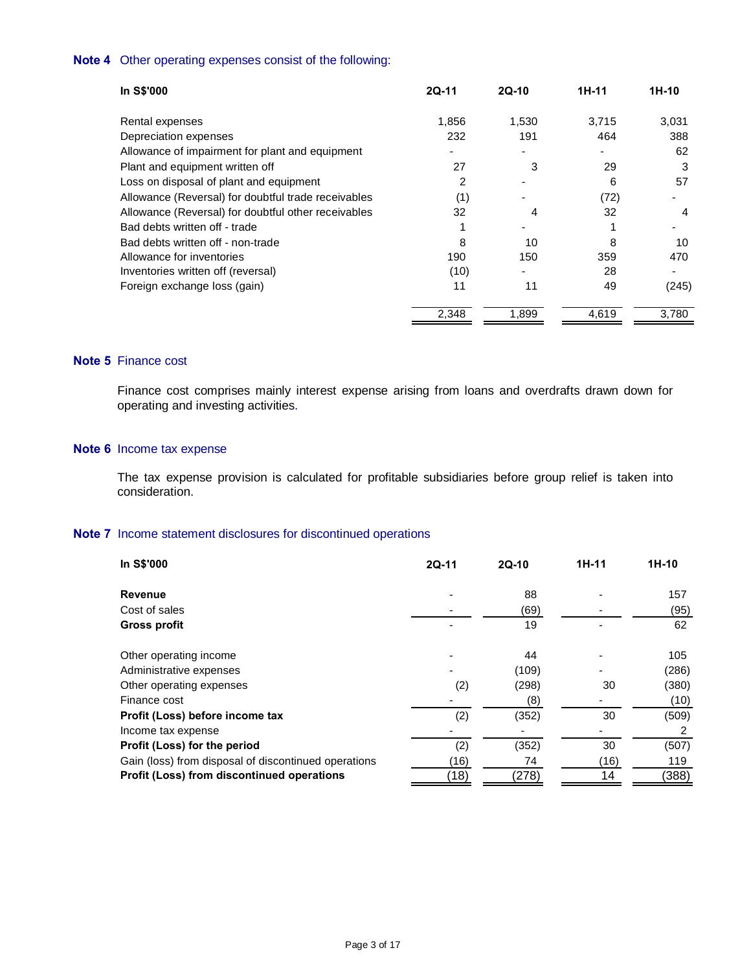### **Note 4** Other operating expenses consist of the following:

| In S\$'000                                          | $2Q-11$ | $2Q-10$ | 1H-11 | 1H-10 |
|-----------------------------------------------------|---------|---------|-------|-------|
| Rental expenses                                     | 1,856   | 1,530   | 3,715 | 3,031 |
| Depreciation expenses                               | 232     | 191     | 464   | 388   |
| Allowance of impairment for plant and equipment     |         |         |       | 62    |
| Plant and equipment written off                     | 27      | 3       | 29    | 3     |
| Loss on disposal of plant and equipment             | 2       |         | 6     | 57    |
| Allowance (Reversal) for doubtful trade receivables | (1)     |         | (72)  |       |
| Allowance (Reversal) for doubtful other receivables | 32      | 4       | 32    | 4     |
| Bad debts written off - trade                       |         |         |       |       |
| Bad debts written off - non-trade                   | 8       | 10      | 8     | 10    |
| Allowance for inventories                           | 190     | 150     | 359   | 470   |
| Inventories written off (reversal)                  | (10)    |         | 28    | ٠     |
| Foreign exchange loss (gain)                        | 11      | 11      | 49    | (245) |
|                                                     | 2,348   | 1,899   | 4,619 | 3,780 |

### **Note 5** Finance cost

Finance cost comprises mainly interest expense arising from loans and overdrafts drawn down for operating and investing activities.

### **Note 6** Income tax expense

The tax expense provision is calculated for profitable subsidiaries before group relief is taken into consideration.

#### **Note 7** Income statement disclosures for discontinued operations

| In S\$'000                                           | $2Q-11$ | $2Q-10$ | $1H-11$ | $1H-10$ |
|------------------------------------------------------|---------|---------|---------|---------|
| <b>Revenue</b>                                       |         | 88      |         | 157     |
| Cost of sales                                        |         | (69)    |         | (95)    |
| <b>Gross profit</b>                                  |         | 19      |         | 62      |
| Other operating income                               |         | 44      |         | 105     |
| Administrative expenses                              |         | (109)   |         | (286)   |
| Other operating expenses                             | (2)     | (298)   | 30      | (380)   |
| Finance cost                                         |         | (8)     |         | (10)    |
| Profit (Loss) before income tax                      | (2)     | (352)   | 30      | (509)   |
| Income tax expense                                   |         |         |         | 2       |
| Profit (Loss) for the period                         | (2)     | (352)   | 30      | (507)   |
| Gain (loss) from disposal of discontinued operations | (16)    | 74      | (16)    | 119     |
| Profit (Loss) from discontinued operations           | (18)    | (278)   | 14      | (388)   |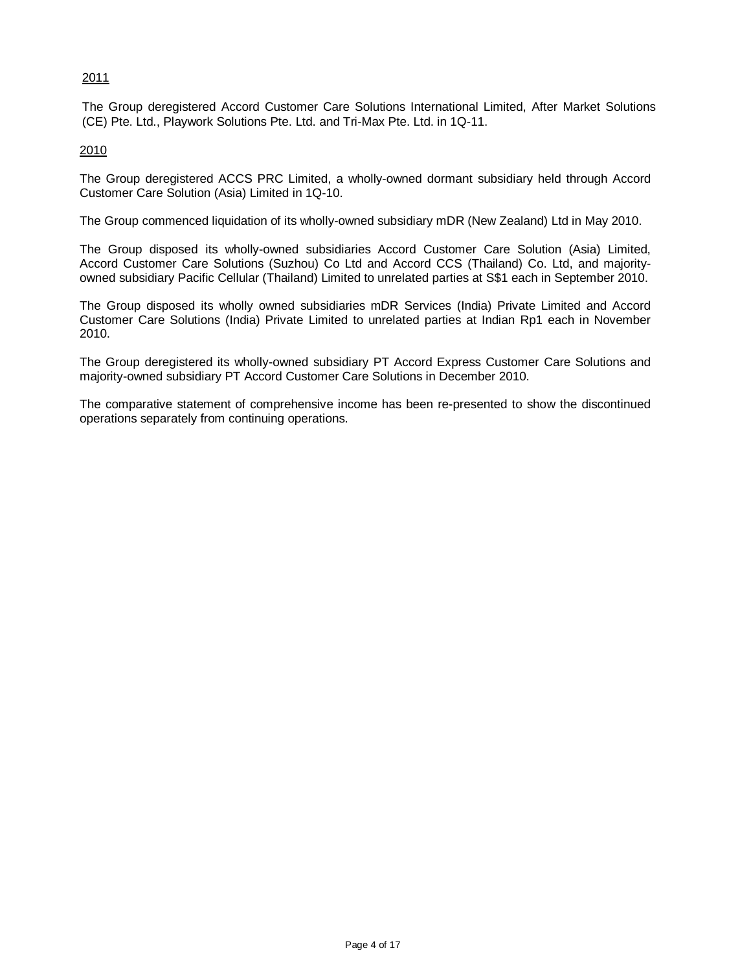### 2011

The Group deregistered Accord Customer Care Solutions International Limited, After Market Solutions (CE) Pte. Ltd., Playwork Solutions Pte. Ltd. and Tri-Max Pte. Ltd. in 1Q-11.

2010

The Group deregistered ACCS PRC Limited, a wholly-owned dormant subsidiary held through Accord Customer Care Solution (Asia) Limited in 1Q-10.

The Group commenced liquidation of its wholly-owned subsidiary mDR (New Zealand) Ltd in May 2010.

The Group disposed its wholly-owned subsidiaries Accord Customer Care Solution (Asia) Limited, Accord Customer Care Solutions (Suzhou) Co Ltd and Accord CCS (Thailand) Co. Ltd, and majorityowned subsidiary Pacific Cellular (Thailand) Limited to unrelated parties at S\$1 each in September 2010.

The Group disposed its wholly owned subsidiaries mDR Services (India) Private Limited and Accord Customer Care Solutions (India) Private Limited to unrelated parties at Indian Rp1 each in November 2010.

The Group deregistered its wholly-owned subsidiary PT Accord Express Customer Care Solutions and majority-owned subsidiary PT Accord Customer Care Solutions in December 2010.

The comparative statement of comprehensive income has been re-presented to show the discontinued operations separately from continuing operations.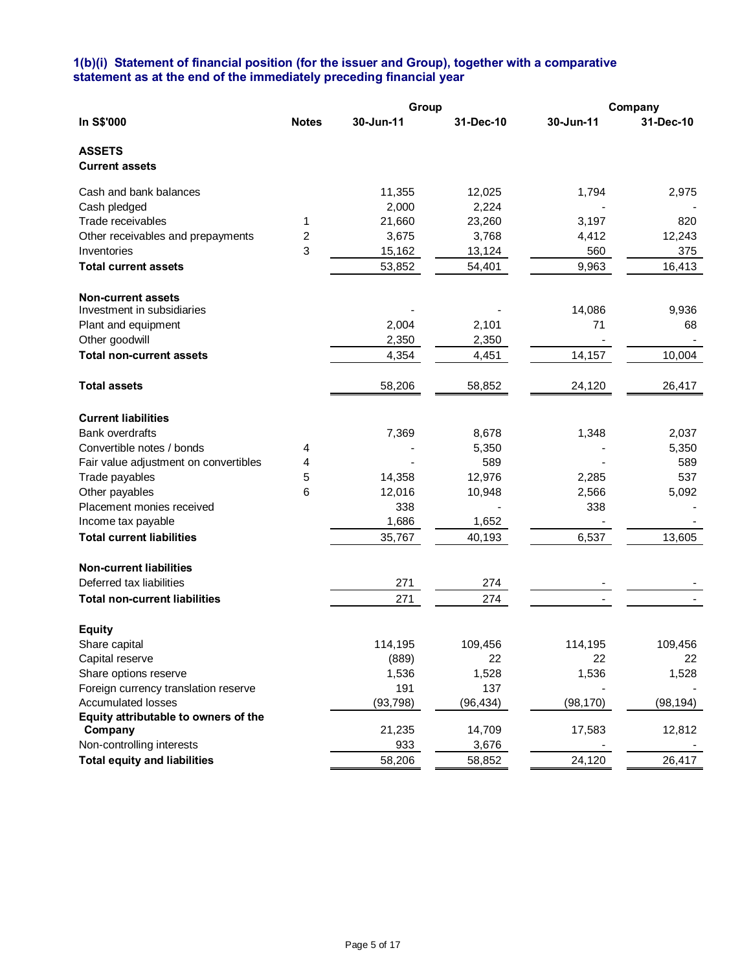### **1(b)(i) Statement of financial position (for the issuer and Group), together with a comparative statement as at the end of the immediately preceding financial year**

|                                                 |                         | Group     |           | Company   |           |
|-------------------------------------------------|-------------------------|-----------|-----------|-----------|-----------|
| In S\$'000                                      | <b>Notes</b>            | 30-Jun-11 | 31-Dec-10 | 30-Jun-11 | 31-Dec-10 |
| <b>ASSETS</b>                                   |                         |           |           |           |           |
| <b>Current assets</b>                           |                         |           |           |           |           |
| Cash and bank balances                          |                         | 11,355    | 12,025    | 1,794     | 2,975     |
| Cash pledged                                    |                         | 2,000     | 2,224     |           |           |
| Trade receivables                               | 1                       | 21,660    | 23,260    | 3,197     | 820       |
| Other receivables and prepayments               | $\overline{\mathbf{c}}$ | 3,675     | 3,768     | 4,412     | 12,243    |
| Inventories                                     | 3                       | 15,162    | 13,124    | 560       | 375       |
| <b>Total current assets</b>                     |                         | 53,852    | 54,401    | 9,963     | 16,413    |
| <b>Non-current assets</b>                       |                         |           |           |           |           |
| Investment in subsidiaries                      |                         |           |           | 14,086    | 9,936     |
| Plant and equipment                             |                         | 2,004     | 2,101     | 71        | 68        |
| Other goodwill                                  |                         | 2,350     | 2,350     |           |           |
| <b>Total non-current assets</b>                 |                         | 4,354     | 4,451     | 14,157    | 10,004    |
| <b>Total assets</b>                             |                         | 58,206    | 58,852    | 24,120    | 26,417    |
| <b>Current liabilities</b>                      |                         |           |           |           |           |
| <b>Bank overdrafts</b>                          |                         | 7,369     | 8,678     | 1,348     | 2,037     |
| Convertible notes / bonds                       | 4                       |           | 5,350     |           | 5,350     |
| Fair value adjustment on convertibles           | 4                       |           | 589       |           | 589       |
| Trade payables                                  | 5                       | 14,358    | 12,976    | 2,285     | 537       |
| Other payables                                  | 6                       | 12,016    | 10,948    | 2,566     | 5,092     |
| Placement monies received                       |                         | 338       |           | 338       |           |
| Income tax payable                              |                         | 1,686     | 1,652     |           |           |
| <b>Total current liabilities</b>                |                         | 35,767    | 40,193    | 6,537     | 13,605    |
| <b>Non-current liabilities</b>                  |                         |           |           |           |           |
| Deferred tax liabilities                        |                         | 271       | 274       |           |           |
| <b>Total non-current liabilities</b>            |                         | 271       | 274       |           |           |
| <b>Equity</b>                                   |                         |           |           |           |           |
| Share capital                                   |                         | 114,195   | 109,456   | 114,195   | 109,456   |
| Capital reserve                                 |                         | (889)     | 22        | 22        | 22        |
| Share options reserve                           |                         | 1,536     | 1,528     | 1,536     | 1,528     |
| Foreign currency translation reserve            |                         | 191       | 137       |           |           |
| <b>Accumulated losses</b>                       |                         | (93, 798) | (96, 434) | (98, 170) | (98, 194) |
| Equity attributable to owners of the<br>Company |                         | 21,235    | 14,709    | 17,583    | 12,812    |
| Non-controlling interests                       |                         | 933       | 3,676     |           |           |
| <b>Total equity and liabilities</b>             |                         | 58,206    | 58,852    | 24,120    | 26,417    |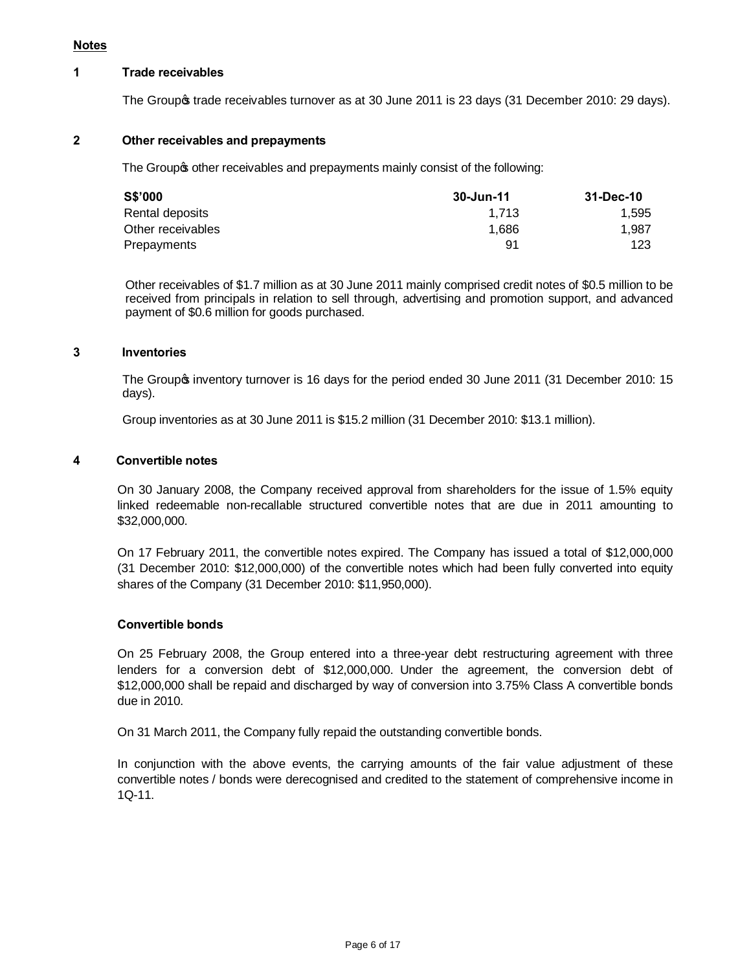### **Notes**

#### **1 Trade receivables**

The Group of trade receivables turnover as at 30 June 2011 is 23 days (31 December 2010: 29 days).

#### **2 Other receivables and prepayments**

The Group  $\phi$  other receivables and prepayments mainly consist of the following:

| S\$'000           | 30-Jun-11 | 31-Dec-10 |
|-------------------|-----------|-----------|
| Rental deposits   | 1.713     | 1.595     |
| Other receivables | 1.686     | 1.987     |
| Prepayments       | 91        | 123.      |

Other receivables of \$1.7 million as at 30 June 2011 mainly comprised credit notes of \$0.5 million to be received from principals in relation to sell through, advertising and promotion support, and advanced payment of \$0.6 million for goods purchased.

#### **3 Inventories**

The Group tinventory turnover is 16 days for the period ended 30 June 2011 (31 December 2010: 15 days).

Group inventories as at 30 June 2011 is \$15.2 million (31 December 2010: \$13.1 million).

#### **4 Convertible notes**

On 30 January 2008, the Company received approval from shareholders for the issue of 1.5% equity linked redeemable non-recallable structured convertible notes that are due in 2011 amounting to \$32,000,000.

On 17 February 2011, the convertible notes expired. The Company has issued a total of \$12,000,000 (31 December 2010: \$12,000,000) of the convertible notes which had been fully converted into equity shares of the Company (31 December 2010: \$11,950,000).

#### **Convertible bonds**

On 25 February 2008, the Group entered into a three-year debt restructuring agreement with three lenders for a conversion debt of \$12,000,000. Under the agreement, the conversion debt of \$12,000,000 shall be repaid and discharged by way of conversion into 3.75% Class A convertible bonds due in 2010.

On 31 March 2011, the Company fully repaid the outstanding convertible bonds.

In conjunction with the above events, the carrying amounts of the fair value adjustment of these convertible notes / bonds were derecognised and credited to the statement of comprehensive income in 1Q-11.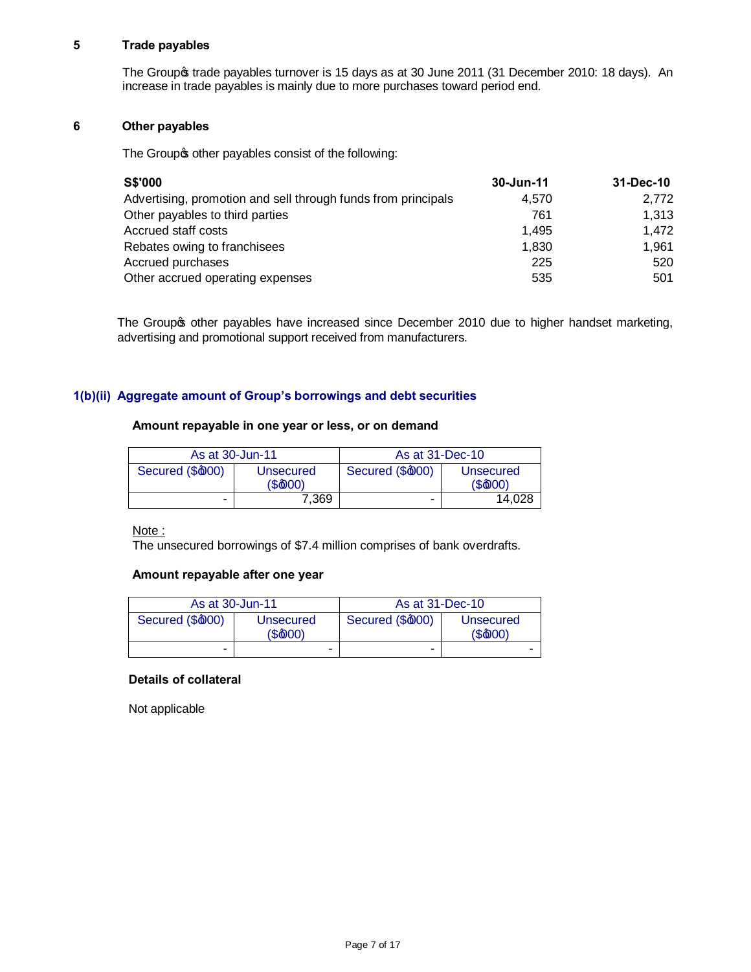#### **5 Trade payables**

The Group of trade payables turnover is 15 days as at 30 June 2011 (31 December 2010: 18 days). An increase in trade payables is mainly due to more purchases toward period end.

### **6 Other payables**

The Group other payables consist of the following:

| <b>S\$'000</b>                                                | 30-Jun-11 | 31-Dec-10 |
|---------------------------------------------------------------|-----------|-----------|
| Advertising, promotion and sell through funds from principals | 4.570     | 2.772     |
| Other payables to third parties                               | 761       | 1,313     |
| Accrued staff costs                                           | 1.495     | 1,472     |
| Rebates owing to franchisees                                  | 1,830     | 1.961     |
| Accrued purchases                                             | 225       | 520       |
| Other accrued operating expenses                              | 535       | 501       |

The Group other payables have increased since December 2010 due to higher handset marketing, advertising and promotional support received from manufacturers.

### **1(b)(ii) Aggregate amount of Group's borrowings and debt securities**

## **Amount repayable in one year or less, or on demand**

| As at 30-Jun-11              |                        | As at 31-Dec-10              |                      |
|------------------------------|------------------------|------------------------------|----------------------|
| Secured (\$ <sub>000</sub> ) | Unsecured<br>$(\$@00)$ | Secured (\$ <sub>000</sub> ) | Unsecured<br>(S4000) |
| $\overline{\phantom{0}}$     | 7.369                  | $\overline{\phantom{0}}$     | 14.028               |

Note :

The unsecured borrowings of \$7.4 million comprises of bank overdrafts.

### **Amount repayable after one year**

| As at 30-Jun-11              |                      | As at 31-Dec-10              |                        |
|------------------------------|----------------------|------------------------------|------------------------|
| Secured (\$ <sub>000</sub> ) | Unsecured<br>(\$@00) | Secured (\$ <sub>000</sub> ) | Unsecured<br>$(\$000)$ |
| -                            | -                    | $\overline{\phantom{0}}$     | -                      |

### **Details of collateral**

Not applicable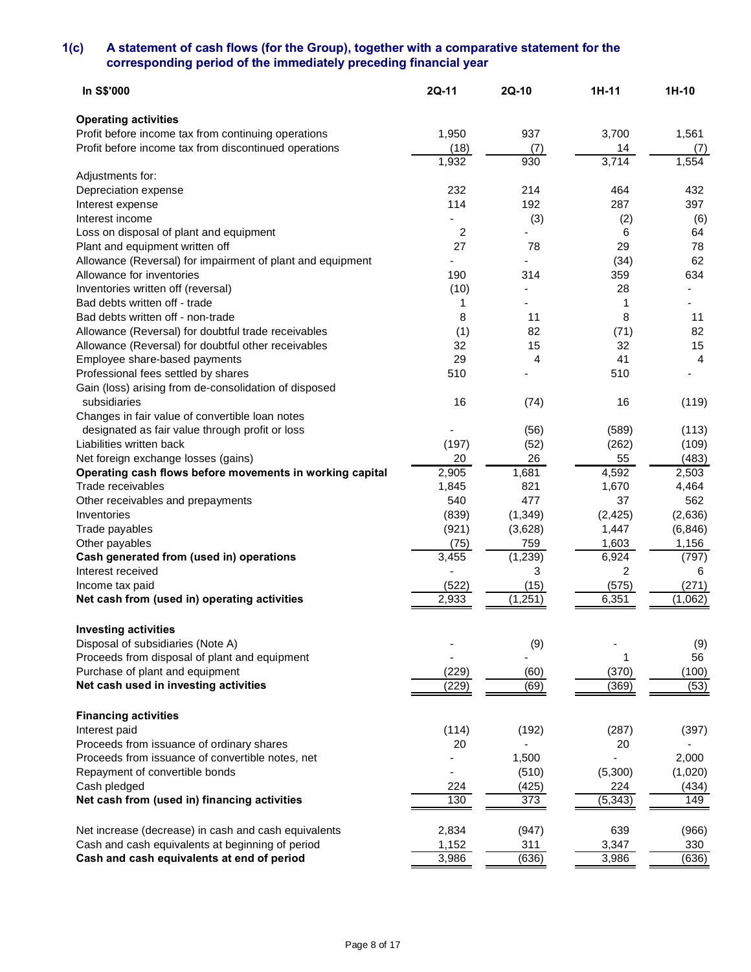### **1(c) A statement of cash flows (for the Group), together with a comparative statement for the corresponding period of the immediately preceding financial year**

| In S\$'000                                                                    | $2Q-11$      | 2Q-10      | 1H-11       | 1H-10          |
|-------------------------------------------------------------------------------|--------------|------------|-------------|----------------|
| <b>Operating activities</b>                                                   |              |            |             |                |
| Profit before income tax from continuing operations                           | 1,950        | 937        | 3,700       | 1,561          |
| Profit before income tax from discontinued operations                         | (18)         | (7)        | 14          | (7)            |
|                                                                               | 1,932        | 930        | 3,714       | 1,554          |
| Adjustments for:                                                              |              |            |             |                |
| Depreciation expense                                                          | 232          | 214        | 464         | 432            |
| Interest expense                                                              | 114          | 192        | 287         | 397            |
| Interest income                                                               |              | (3)        | (2)         | (6)            |
| Loss on disposal of plant and equipment                                       | 2            |            | 6           | 64             |
| Plant and equipment written off                                               | 27           | 78         | 29          | 78             |
| Allowance (Reversal) for impairment of plant and equipment                    |              |            | (34)        | 62             |
| Allowance for inventories                                                     | 190          | 314        | 359         | 634            |
| Inventories written off (reversal)                                            | (10)         |            | 28          |                |
| Bad debts written off - trade                                                 | 1            |            | 1           |                |
| Bad debts written off - non-trade                                             | 8            | 11         | 8           | 11             |
| Allowance (Reversal) for doubtful trade receivables                           | (1)          | 82         | (71)        | 82             |
| Allowance (Reversal) for doubtful other receivables                           | 32           | 15         | 32          | 15             |
| Employee share-based payments                                                 | 29           | 4          | 41          | $\overline{4}$ |
| Professional fees settled by shares                                           | 510          |            | 510         |                |
| Gain (loss) arising from de-consolidation of disposed                         |              |            |             |                |
| subsidiaries                                                                  | 16           | (74)       | 16          | (119)          |
| Changes in fair value of convertible loan notes                               |              |            |             |                |
| designated as fair value through profit or loss                               |              | (56)       | (589)       | (113)          |
| Liabilities written back                                                      | (197)        | (52)       | (262)       | (109)          |
| Net foreign exchange losses (gains)                                           | 20           | 26         | 55<br>4,592 | (483)          |
| Operating cash flows before movements in working capital<br>Trade receivables | 2,905        | 1,681      | 1,670       | 2,503<br>4,464 |
| Other receivables and prepayments                                             | 1,845<br>540 | 821<br>477 | 37          | 562            |
| Inventories                                                                   | (839)        | (1, 349)   | (2, 425)    | (2,636)        |
| Trade payables                                                                | (921)        | (3,628)    | 1,447       | (6, 846)       |
| Other payables                                                                | (75)         | 759        | 1,603       | 1,156          |
| Cash generated from (used in) operations                                      | 3,455        | (1, 239)   | 6,924       | (797)          |
| Interest received                                                             |              | 3          | 2           | 6              |
| Income tax paid                                                               | (522)        | (15)       | (575)       | (271)          |
| Net cash from (used in) operating activities                                  | 2,933        | (1, 251)   | 6,351       | (1,062)        |
|                                                                               |              |            |             |                |
| Investing activities                                                          |              |            |             |                |
| Disposal of subsidiaries (Note A)                                             |              | (9)        |             | (9)            |
| Proceeds from disposal of plant and equipment                                 |              |            | 1           | 56             |
| Purchase of plant and equipment                                               | (229)        | (60)       | (370)       | (100)          |
| Net cash used in investing activities                                         | (229)        | (69)       | (369)       | (53)           |
|                                                                               |              |            |             |                |
| <b>Financing activities</b>                                                   |              |            |             |                |
| Interest paid                                                                 | (114)        | (192)      | (287)       | (397)          |
| Proceeds from issuance of ordinary shares                                     | 20           |            | 20          |                |
| Proceeds from issuance of convertible notes, net                              |              | 1,500      |             | 2,000          |
| Repayment of convertible bonds                                                |              | (510)      | (5,300)     | (1,020)        |
| Cash pledged                                                                  | 224          | (425)      | 224         | (434)          |
| Net cash from (used in) financing activities                                  | 130          | 373        | (5, 343)    | 149            |
| Net increase (decrease) in cash and cash equivalents                          | 2,834        | (947)      | 639         | (966)          |
| Cash and cash equivalents at beginning of period                              | 1,152        | 311        | 3,347       | 330            |
| Cash and cash equivalents at end of period                                    | 3,986        | (636)      | 3,986       | (636)          |
|                                                                               |              |            |             |                |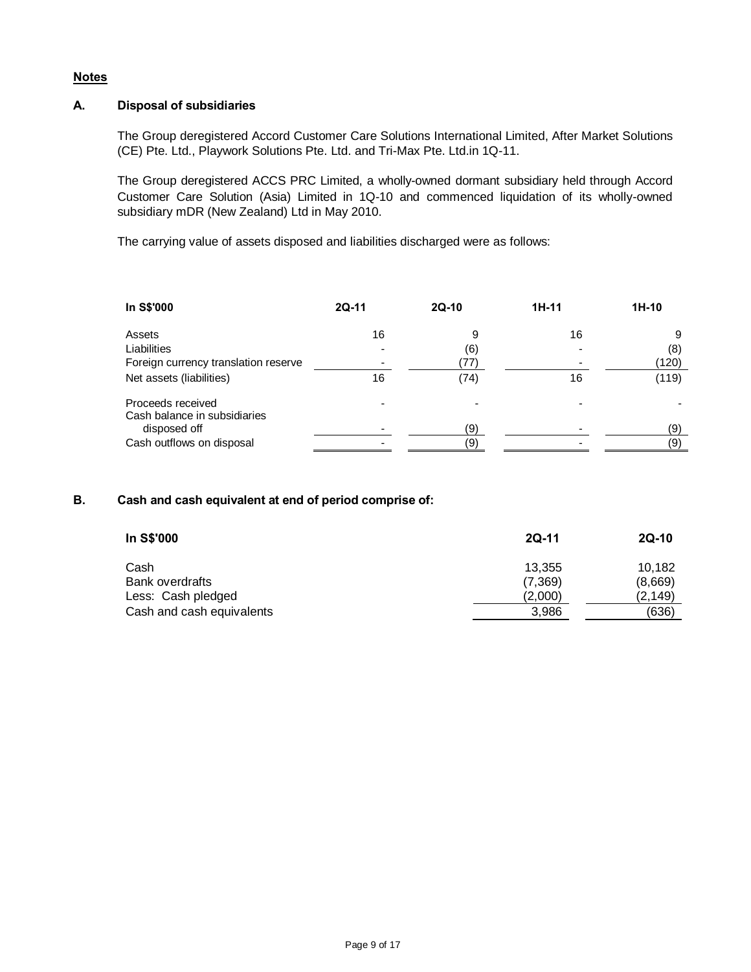### **Notes**

### **A. Disposal of subsidiaries**

The Group deregistered Accord Customer Care Solutions International Limited, After Market Solutions (CE) Pte. Ltd., Playwork Solutions Pte. Ltd. and Tri-Max Pte. Ltd.in 1Q-11.

The Group deregistered ACCS PRC Limited, a wholly-owned dormant subsidiary held through Accord Customer Care Solution (Asia) Limited in 1Q-10 and commenced liquidation of its wholly-owned subsidiary mDR (New Zealand) Ltd in May 2010.

The carrying value of assets disposed and liabilities discharged were as follows:

| In S\$'000                                        | $2Q-11$ | $2Q-10$ | 1H-11 | $1H-10$ |
|---------------------------------------------------|---------|---------|-------|---------|
| Assets                                            | 16      | g       | 16    |         |
| Liabilities                                       |         | (6)     |       | (8)     |
| Foreign currency translation reserve              |         | (77)    |       | (120)   |
| Net assets (liabilities)                          | 16      | (74)    | 16    | (119)   |
| Proceeds received<br>Cash balance in subsidiaries |         |         |       |         |
| disposed off                                      |         | (9)     |       | (9)     |
| Cash outflows on disposal                         |         | (9)     |       | (9)     |

### **B. Cash and cash equivalent at end of period comprise of:**

| In S\$'000                | $2Q-11$ | $2Q-10$ |
|---------------------------|---------|---------|
| Cash                      | 13,355  | 10,182  |
| Bank overdrafts           | (7,369) | (8,669) |
| Less: Cash pledged        | (2,000) | (2,149) |
| Cash and cash equivalents | 3,986   | (636)   |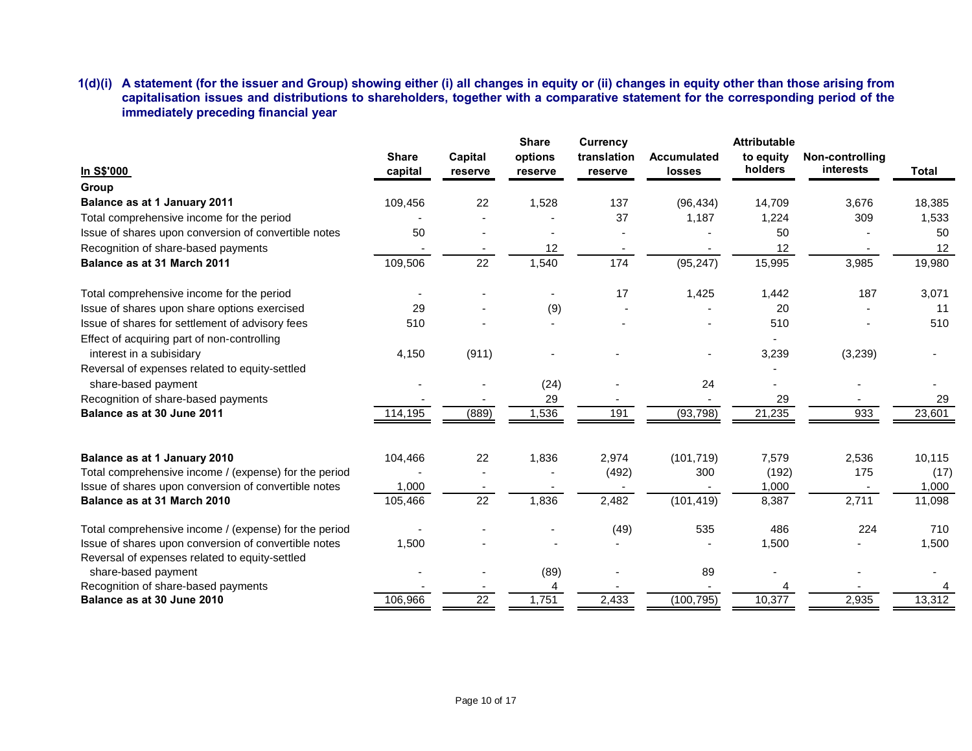**1(d)(i) A statement (for the issuer and Group) showing either (i) all changes in equity or (ii) changes in equity other than those arising from capitalisation issues and distributions to shareholders, together with a comparative statement for the corresponding period of the immediately preceding financial year**

|                                                                                                        |              |                 | <b>Share</b> | <b>Currency</b> |                    | <b>Attributable</b> |                 |              |
|--------------------------------------------------------------------------------------------------------|--------------|-----------------|--------------|-----------------|--------------------|---------------------|-----------------|--------------|
|                                                                                                        | <b>Share</b> | Capital         | options      | translation     | <b>Accumulated</b> | to equity           | Non-controlling |              |
| In S\$'000                                                                                             | capital      | reserve         | reserve      | reserve         | losses             | holders             | interests       | <b>Total</b> |
| Group                                                                                                  |              |                 |              |                 |                    |                     |                 |              |
| Balance as at 1 January 2011                                                                           | 109,456      | 22              | 1,528        | 137             | (96, 434)          | 14,709              | 3,676           | 18,385       |
| Total comprehensive income for the period                                                              |              |                 |              | 37              | 1,187              | 1,224               | 309             | 1,533        |
| Issue of shares upon conversion of convertible notes                                                   | 50           |                 |              |                 |                    | 50                  |                 | 50           |
| Recognition of share-based payments                                                                    |              |                 | 12           |                 |                    | 12                  |                 | 12           |
| Balance as at 31 March 2011                                                                            | 109,506      | 22              | 1,540        | 174             | (95, 247)          | 15,995              | 3,985           | 19,980       |
| Total comprehensive income for the period                                                              |              |                 |              | 17              | 1,425              | 1,442               | 187             | 3,071        |
| Issue of shares upon share options exercised                                                           | 29           |                 | (9)          |                 |                    | 20                  |                 | 11           |
| Issue of shares for settlement of advisory fees                                                        | 510          |                 |              |                 |                    | 510                 |                 | 510          |
| Effect of acquiring part of non-controlling                                                            |              |                 |              |                 |                    |                     |                 |              |
| interest in a subisidary                                                                               | 4,150        | (911)           |              |                 |                    | 3,239               | (3,239)         |              |
| Reversal of expenses related to equity-settled                                                         |              |                 |              |                 |                    |                     |                 |              |
| share-based payment                                                                                    |              |                 | (24)         |                 | 24                 |                     |                 |              |
| Recognition of share-based payments                                                                    |              |                 | 29           |                 |                    | 29                  |                 | 29           |
| Balance as at 30 June 2011                                                                             | 114,195      | (889)           | 1,536        | 191             | (93, 798)          | 21,235              | 933             | 23,601       |
| Balance as at 1 January 2010                                                                           | 104,466      | 22              | 1,836        | 2,974           | (101, 719)         | 7,579               | 2,536           | 10,115       |
| Total comprehensive income / (expense) for the period                                                  |              |                 |              | (492)           | 300                | (192)               | 175             | (17)         |
| Issue of shares upon conversion of convertible notes                                                   | 1,000        |                 |              |                 |                    | 1,000               |                 | 1,000        |
| Balance as at 31 March 2010                                                                            | 105,466      | $\overline{22}$ | 1,836        | 2,482           | (101, 419)         | 8,387               | 2,711           | 11,098       |
| Total comprehensive income / (expense) for the period                                                  |              |                 |              | (49)            | 535                | 486                 | 224             | 710          |
| Issue of shares upon conversion of convertible notes<br>Reversal of expenses related to equity-settled | 1,500        |                 |              |                 |                    | 1,500               |                 | 1,500        |
| share-based payment                                                                                    |              |                 | (89)         |                 | 89                 |                     |                 |              |
| Recognition of share-based payments                                                                    |              |                 |              |                 |                    |                     |                 |              |
| Balance as at 30 June 2010                                                                             | 106,966      | $\overline{22}$ | 1,751        | 2,433           | (100, 795)         | 10,377              | 2,935           | 13,312       |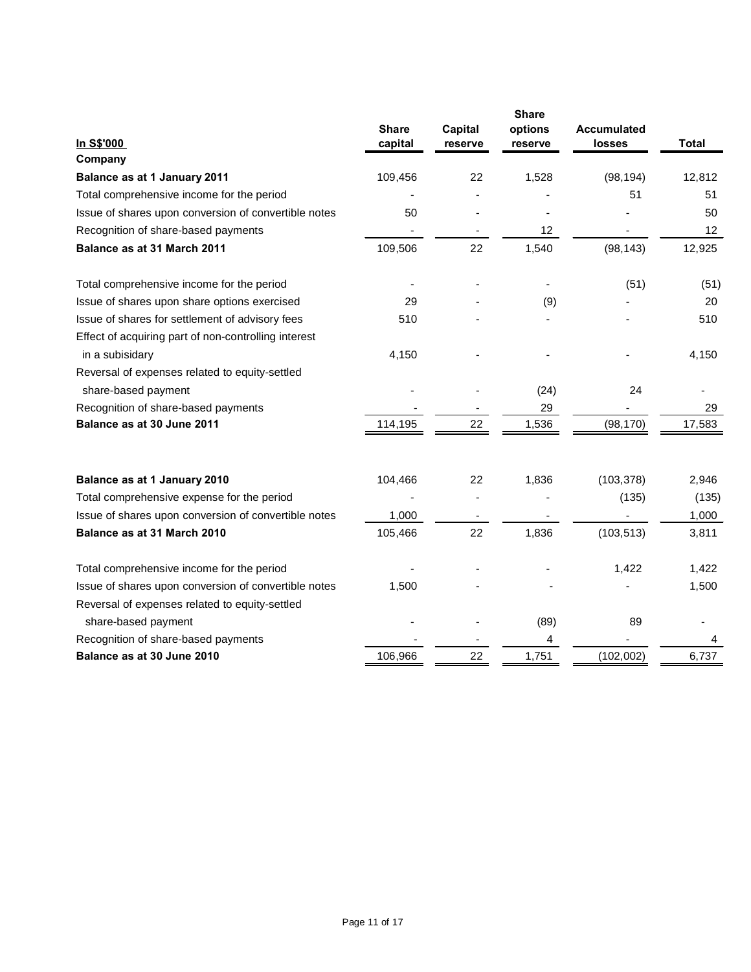|                                                      |              |         | <b>Share</b>             |                    |              |
|------------------------------------------------------|--------------|---------|--------------------------|--------------------|--------------|
|                                                      | <b>Share</b> | Capital | options                  | <b>Accumulated</b> |              |
| In S\$'000                                           | capital      | reserve | reserve                  | losses             | <b>Total</b> |
| Company                                              |              |         |                          |                    |              |
| Balance as at 1 January 2011                         | 109,456      | 22      | 1,528                    | (98, 194)          | 12,812       |
| Total comprehensive income for the period            |              |         |                          | 51                 | 51           |
| Issue of shares upon conversion of convertible notes | 50           |         |                          |                    | 50           |
| Recognition of share-based payments                  |              |         | 12                       |                    | 12           |
| Balance as at 31 March 2011                          | 109,506      | 22      | 1,540                    | (98, 143)          | 12,925       |
| Total comprehensive income for the period            |              |         | $\overline{\phantom{a}}$ | (51)               | (51)         |
| Issue of shares upon share options exercised         | 29           |         | (9)                      |                    | 20           |
| Issue of shares for settlement of advisory fees      | 510          |         |                          |                    | 510          |
| Effect of acquiring part of non-controlling interest |              |         |                          |                    |              |
| in a subisidary                                      | 4,150        |         |                          |                    | 4,150        |
| Reversal of expenses related to equity-settled       |              |         |                          |                    |              |
| share-based payment                                  |              |         | (24)                     | 24                 |              |
| Recognition of share-based payments                  |              |         | 29                       |                    | 29           |
| Balance as at 30 June 2011                           | 114,195      | 22      | 1,536                    | (98, 170)          | 17,583       |
|                                                      |              |         |                          |                    |              |
| Balance as at 1 January 2010                         | 104,466      | 22      | 1,836                    | (103, 378)         | 2,946        |
| Total comprehensive expense for the period           |              |         |                          | (135)              | (135)        |
| Issue of shares upon conversion of convertible notes | 1,000        |         |                          |                    | 1,000        |
| Balance as at 31 March 2010                          | 105,466      | 22      | 1,836                    | (103, 513)         | 3,811        |
| Total comprehensive income for the period            |              |         |                          | 1,422              | 1,422        |
| Issue of shares upon conversion of convertible notes | 1,500        |         |                          |                    | 1,500        |
| Reversal of expenses related to equity-settled       |              |         |                          |                    |              |
| share-based payment                                  |              |         | (89)                     | 89                 |              |
| Recognition of share-based payments                  |              |         | 4                        |                    |              |
| Balance as at 30 June 2010                           | 106,966      | 22      | 1,751                    | (102,002)          | 6,737        |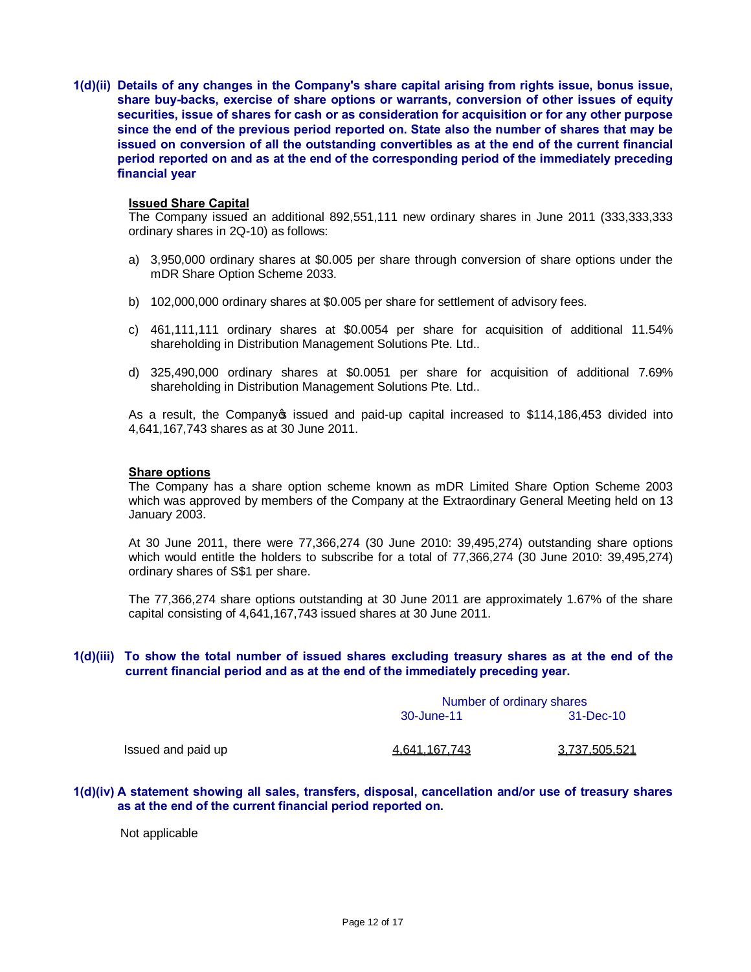**1(d)(ii) Details of any changes in the Company's share capital arising from rights issue, bonus issue, share buy-backs, exercise of share options or warrants, conversion of other issues of equity securities, issue of shares for cash or as consideration for acquisition or for any other purpose since the end of the previous period reported on. State also the number of shares that may be issued on conversion of all the outstanding convertibles as at the end of the current financial period reported on and as at the end of the corresponding period of the immediately preceding financial year**

#### **Issued Share Capital**

The Company issued an additional 892,551,111 new ordinary shares in June 2011 (333,333,333 ordinary shares in 2Q-10) as follows:

- a) 3,950,000 ordinary shares at \$0.005 per share through conversion of share options under the mDR Share Option Scheme 2033.
- b) 102,000,000 ordinary shares at \$0.005 per share for settlement of advisory fees.
- c) 461,111,111 ordinary shares at \$0.0054 per share for acquisition of additional 11.54% shareholding in Distribution Management Solutions Pte. Ltd..
- d) 325,490,000 ordinary shares at \$0.0051 per share for acquisition of additional 7.69% shareholding in Distribution Management Solutions Pte. Ltd..

As a result, the Company issued and paid-up capital increased to \$114,186,453 divided into 4,641,167,743 shares as at 30 June 2011.

#### **Share options**

The Company has a share option scheme known as mDR Limited Share Option Scheme 2003 which was approved by members of the Company at the Extraordinary General Meeting held on 13 January 2003.

At 30 June 2011, there were 77,366,274 (30 June 2010: 39,495,274) outstanding share options which would entitle the holders to subscribe for a total of 77,366,274 (30 June 2010: 39,495,274) ordinary shares of S\$1 per share.

The 77,366,274 share options outstanding at 30 June 2011 are approximately 1.67% of the share capital consisting of 4,641,167,743 issued shares at 30 June 2011.

#### **1(d)(iii) To show the total number of issued shares excluding treasury shares as at the end of the current financial period and as at the end of the immediately preceding year.**

|                    | Number of ordinary shares |                      |  |
|--------------------|---------------------------|----------------------|--|
|                    | 30-June-11                | 31-Dec-10            |  |
| Issued and paid up | <u>4.641.167.743</u>      | <u>3.737.505.521</u> |  |

#### **1(d)(iv) A statement showing all sales, transfers, disposal, cancellation and/or use of treasury shares as at the end of the current financial period reported on.**

Not applicable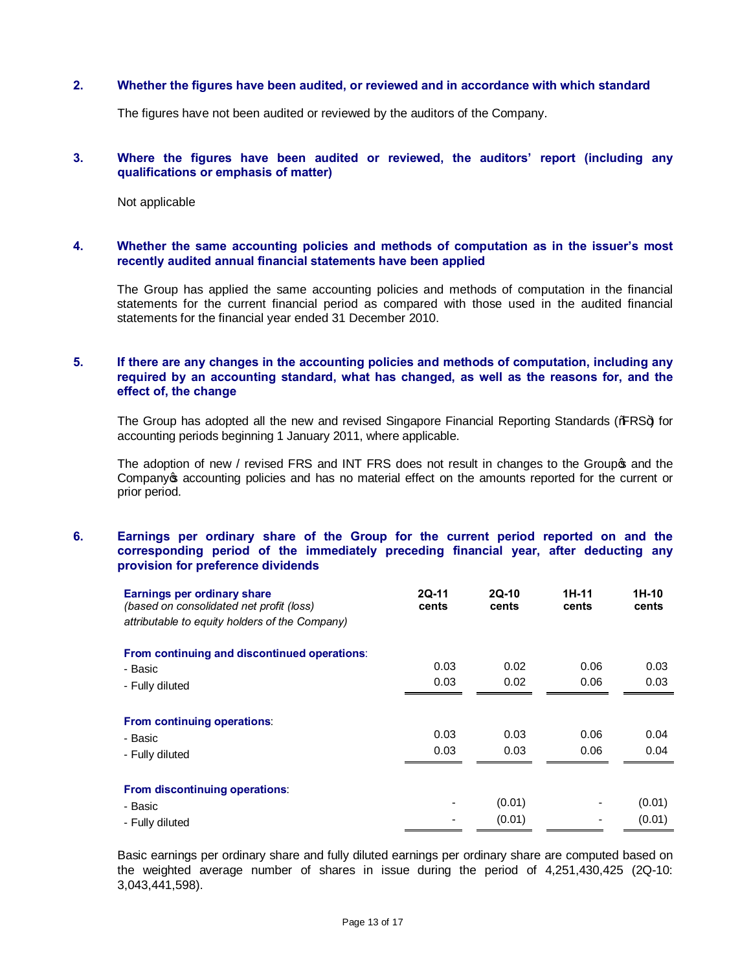#### **2. Whether the figures have been audited, or reviewed and in accordance with which standard**

The figures have not been audited or reviewed by the auditors of the Company.

#### **3. Where the figures have been audited or reviewed, the auditors' report (including any qualifications or emphasis of matter)**

Not applicable

#### **4. Whether the same accounting policies and methods of computation as in the issuer's most recently audited annual financial statements have been applied**

The Group has applied the same accounting policies and methods of computation in the financial statements for the current financial period as compared with those used in the audited financial statements for the financial year ended 31 December 2010.

### **5. If there are any changes in the accounting policies and methods of computation, including any required by an accounting standard, what has changed, as well as the reasons for, and the effect of, the change**

The Group has adopted all the new and revised Singapore Financial Reporting Standards (%RS+) for accounting periods beginning 1 January 2011, where applicable.

The adoption of new / revised FRS and INT FRS does not result in changes to the Group of and the Company op accounting policies and has no material effect on the amounts reported for the current or prior period.

#### **6. Earnings per ordinary share of the Group for the current period reported on and the corresponding period of the immediately preceding financial year, after deducting any provision for preference dividends**

| <b>Earnings per ordinary share</b><br>(based on consolidated net profit (loss)<br>attributable to equity holders of the Company) | $2Q-11$<br>cents | $2Q-10$<br>cents | 1H-11<br>cents | 1H-10<br>cents |
|----------------------------------------------------------------------------------------------------------------------------------|------------------|------------------|----------------|----------------|
| From continuing and discontinued operations:                                                                                     |                  |                  |                |                |
| - Basic                                                                                                                          | 0.03             | 0.02             | 0.06           | 0.03           |
| - Fully diluted                                                                                                                  | 0.03             | 0.02             | 0.06           | 0.03           |
|                                                                                                                                  |                  |                  |                |                |
| From continuing operations:                                                                                                      |                  |                  |                |                |
| - Basic                                                                                                                          | 0.03             | 0.03             | 0.06           | 0.04           |
| - Fully diluted                                                                                                                  | 0.03             | 0.03             | 0.06           | 0.04           |
|                                                                                                                                  |                  |                  |                |                |
| From discontinuing operations:                                                                                                   |                  |                  |                |                |
| - Basic                                                                                                                          |                  | (0.01)           |                | (0.01)         |
| - Fully diluted                                                                                                                  |                  | (0.01)           |                | (0.01)         |

Basic earnings per ordinary share and fully diluted earnings per ordinary share are computed based on the weighted average number of shares in issue during the period of 4,251,430,425 (2Q-10: 3,043,441,598).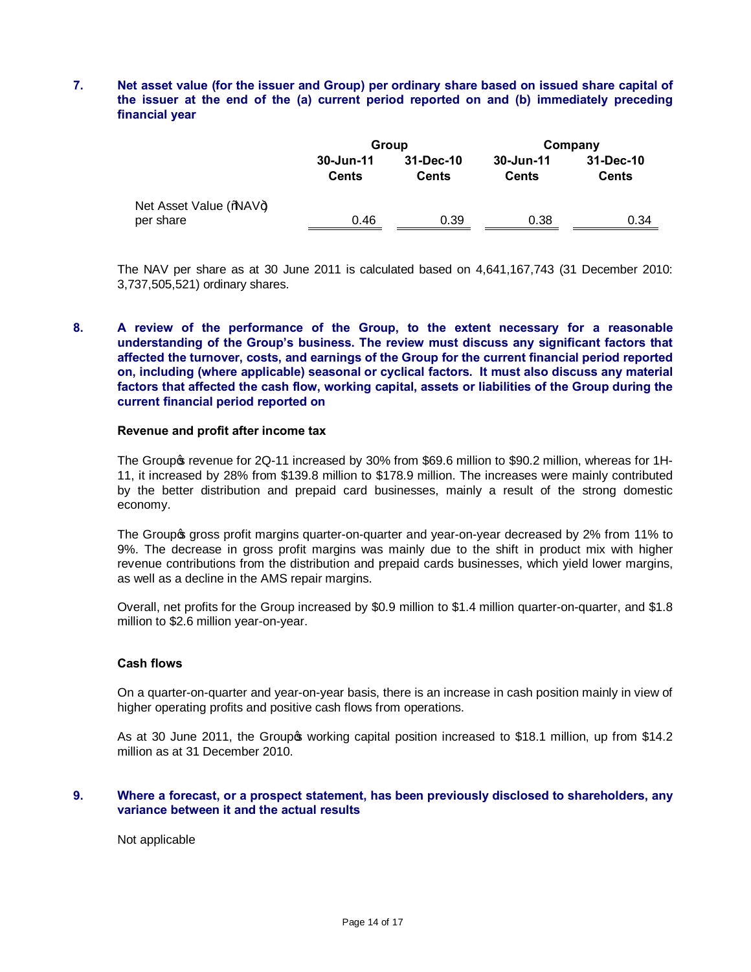### **7. Net asset value (for the issuer and Group) per ordinary share based on issued share capital of the issuer at the end of the (a) current period reported on and (b) immediately preceding financial year**

|                         |                           | Group                     | Company                   |                           |  |
|-------------------------|---------------------------|---------------------------|---------------------------|---------------------------|--|
|                         | 30-Jun-11<br><b>Cents</b> | 31-Dec-10<br><b>Cents</b> | 30-Jun-11<br><b>Cents</b> | 31-Dec-10<br><b>Cents</b> |  |
| Net Asset Value (%NAV+) |                           |                           |                           |                           |  |
| per share               | 0.46                      | 0.39                      | 0.38                      | 0.34                      |  |

The NAV per share as at 30 June 2011 is calculated based on 4,641,167,743 (31 December 2010: 3,737,505,521) ordinary shares.

### **8. A review of the performance of the Group, to the extent necessary for a reasonable understanding of the Group's business. The review must discuss any significant factors that affected the turnover, costs, and earnings of the Group for the current financial period reported on, including (where applicable) seasonal or cyclical factors. It must also discuss any material factors that affected the cash flow, working capital, assets or liabilities of the Group during the current financial period reported on**

#### **Revenue and profit after income tax**

The Group trevenue for 2Q-11 increased by 30% from \$69.6 million to \$90.2 million, whereas for 1H-11, it increased by 28% from \$139.8 million to \$178.9 million. The increases were mainly contributed by the better distribution and prepaid card businesses, mainly a result of the strong domestic economy.

The Group of gross profit margins quarter-on-quarter and year-on-year decreased by 2% from 11% to 9%. The decrease in gross profit margins was mainly due to the shift in product mix with higher revenue contributions from the distribution and prepaid cards businesses, which yield lower margins, as well as a decline in the AMS repair margins.

Overall, net profits for the Group increased by \$0.9 million to \$1.4 million quarter-on-quarter, and \$1.8 million to \$2.6 million year-on-year.

#### **Cash flows**

On a quarter-on-quarter and year-on-year basis, there is an increase in cash position mainly in view of higher operating profits and positive cash flows from operations.

As at 30 June 2011, the Group working capital position increased to \$18.1 million, up from \$14.2 million as at 31 December 2010.

#### **9. Where a forecast, or a prospect statement, has been previously disclosed to shareholders, any variance between it and the actual results**

Not applicable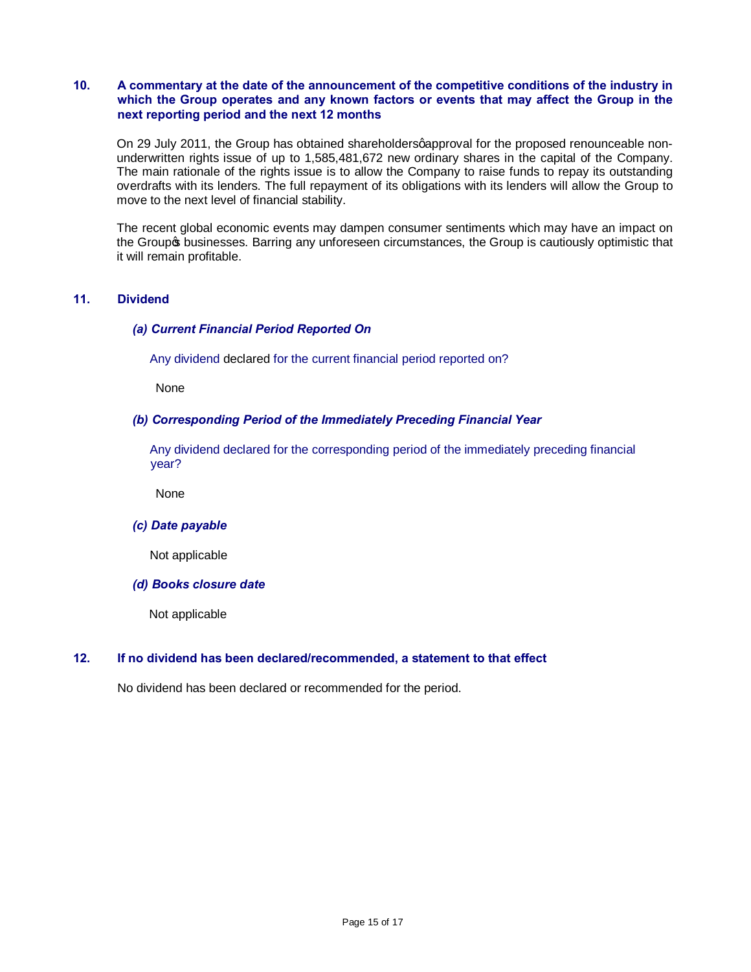### **10. A commentary at the date of the announcement of the competitive conditions of the industry in which the Group operates and any known factors or events that may affect the Group in the next reporting period and the next 12 months**

On 29 July 2011, the Group has obtained shareholders approval for the proposed renounceable nonunderwritten rights issue of up to 1,585,481,672 new ordinary shares in the capital of the Company. The main rationale of the rights issue is to allow the Company to raise funds to repay its outstanding overdrafts with its lenders. The full repayment of its obligations with its lenders will allow the Group to move to the next level of financial stability.

The recent global economic events may dampen consumer sentiments which may have an impact on the Group is businesses. Barring any unforeseen circumstances, the Group is cautiously optimistic that it will remain profitable.

### **11. Dividend**

#### *(a) Current Financial Period Reported On*

Any dividend declared for the current financial period reported on?

None

### *(b) Corresponding Period of the Immediately Preceding Financial Year*

 Any dividend declared for the corresponding period of the immediately preceding financial year?

None

#### *(c) Date payable*

Not applicable

#### *(d) Books closure date*

Not applicable

#### **12. If no dividend has been declared/recommended, a statement to that effect**

No dividend has been declared or recommended for the period.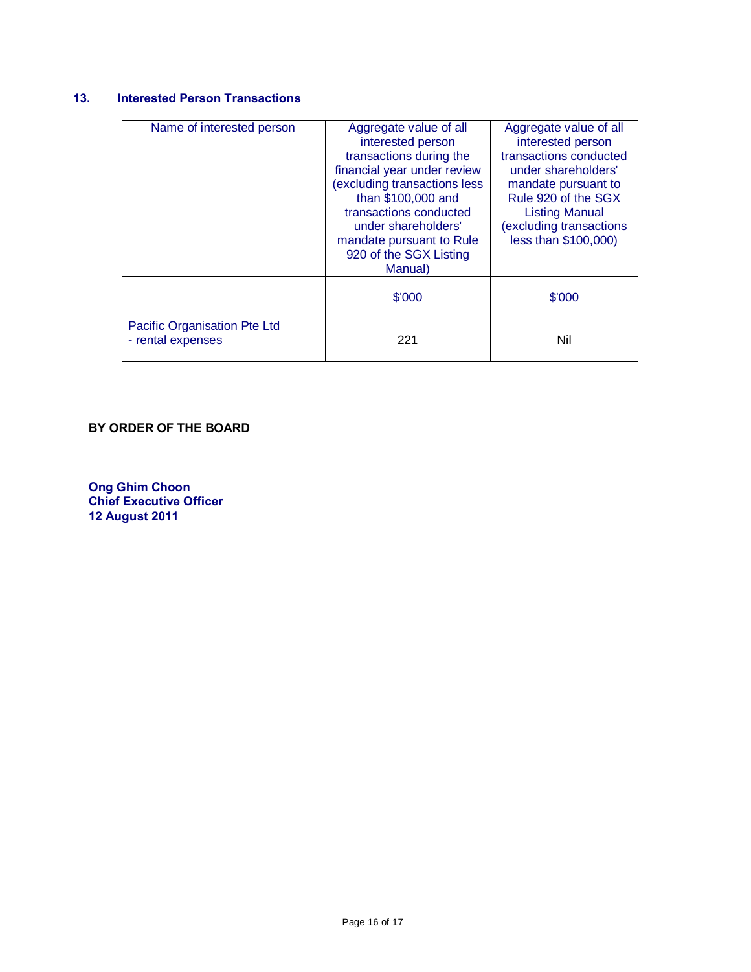## **13. Interested Person Transactions**

| Name of interested person                         | Aggregate value of all<br>interested person<br>transactions during the<br>financial year under review<br>(excluding transactions less<br>than \$100,000 and<br>transactions conducted<br>under shareholders'<br>mandate pursuant to Rule<br>920 of the SGX Listing<br>Manual) | Aggregate value of all<br>interested person<br>transactions conducted<br>under shareholders'<br>mandate pursuant to<br>Rule 920 of the SGX<br><b>Listing Manual</b><br>excluding transactions<br>less than \$100,000) |
|---------------------------------------------------|-------------------------------------------------------------------------------------------------------------------------------------------------------------------------------------------------------------------------------------------------------------------------------|-----------------------------------------------------------------------------------------------------------------------------------------------------------------------------------------------------------------------|
|                                                   | \$'000                                                                                                                                                                                                                                                                        | \$'000                                                                                                                                                                                                                |
| Pacific Organisation Pte Ltd<br>- rental expenses | 221                                                                                                                                                                                                                                                                           | Nil                                                                                                                                                                                                                   |

# **BY ORDER OF THE BOARD**

**Ong Ghim Choon Chief Executive Officer 12 August 2011**